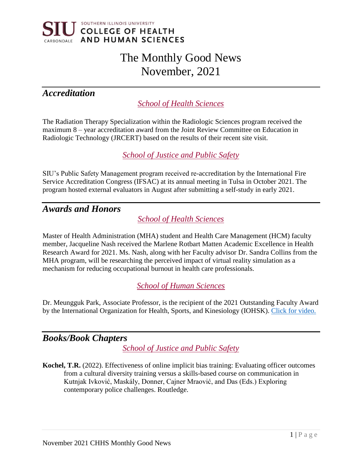

# The Monthly Good News November, 2021

# *Accreditation*

*School of Health Sciences*

The Radiation Therapy Specialization within the Radiologic Sciences program received the maximum 8 – year accreditation award from the Joint Review Committee on Education in Radiologic Technology (JRCERT) based on the results of their recent site visit.

*School of Justice and Public Safety*

SIU's Public Safety Management program received re-accreditation by the International Fire Service Accreditation Congress (IFSAC) at its annual meeting in Tulsa in October 2021. The program hosted external evaluators in August after submitting a self-study in early 2021.

## *Awards and Honors*

*School of Health Sciences*

Master of Health Administration (MHA) student and Health Care Management (HCM) faculty member, Jacqueline Nash received the Marlene Rotbart Matten Academic Excellence in Health Research Award for 2021. Ms. Nash, along with her Faculty advisor Dr. Sandra Collins from the MHA program, will be researching the perceived impact of virtual reality simulation as a mechanism for reducing occupational burnout in health care professionals.

*School of Human Sciences*

Dr. Meungguk Park, Associate Professor, is the recipient of the 2021 Outstanding Faculty Award by the International Organization for Health, Sports, and Kinesiology (IOHSK). [Click for video.](https://www.facebook.com/iohsk/videos/2719930274975997)

## *Books/Book Chapters*

*School of Justice and Public Safety*

**Kochel, T.R.** (2022). Effectiveness of online implicit bias training: Evaluating officer outcomes from a cultural diversity training versus a skills-based course on communication in Kutnjak Ivković, Maskály, Donner, Cajner Mraović, and Das (Eds.) Exploring contemporary police challenges. Routledge.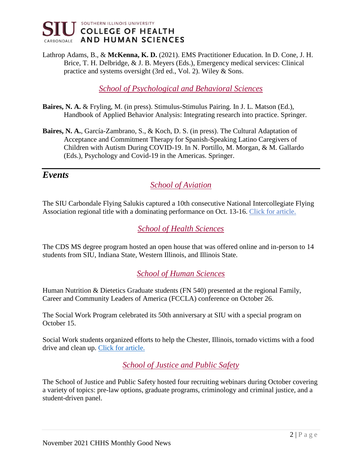

Lathrop Adams, B., & **McKenna, K. D.** (2021). EMS Practitioner Education. In D. Cone, J. H. Brice, T. H. Delbridge, & J. B. Meyers (Eds.), Emergency medical services: Clinical practice and systems oversight (3rd ed., Vol. 2). Wiley & Sons.

*School of Psychological and Behavioral Sciences*

- **Baires, N. A.** & Fryling, M. (in press). Stimulus-Stimulus Pairing. In J. L. Matson (Ed.), Handbook of Applied Behavior Analysis: Integrating research into practice. Springer.
- **Baires, N. A.**, García-Zambrano, S., & Koch, D. S. (in press). The Cultural Adaptation of Acceptance and Commitment Therapy for Spanish-Speaking Latino Caregivers of Children with Autism During COVID-19. In N. Portillo, M. Morgan, & M. Gallardo (Eds.), Psychology and Covid-19 in the Americas. Springer.

#### *Events*

*School of Aviation*

The SIU Carbondale Flying Salukis captured a 10th consecutive National Intercollegiate Flying Association regional title with a dominating performance on Oct. 13-16. [Click for article.](https://news.siu.edu/2021/10/101921-Make-it-10-Flying-Salukis-head-to-nationals-after-another-dominating-regional-performance.php) 

*School of Health Sciences*

The CDS MS degree program hosted an open house that was offered online and in-person to 14 students from SIU, Indiana State, Western Illinois, and Illinois State.

*School of Human Sciences*

Human Nutrition & Dietetics Graduate students (FN 540) presented at the regional Family, Career and Community Leaders of America (FCCLA) conference on October 26.

The Social Work Program celebrated its 50th anniversary at SIU with a special program on October 15.

Social Work students organized efforts to help the Chester, Illinois, tornado victims with a food drive and clean up. [Click for article.](https://thesouthern.com/news/local/chester-strong-siu-students-collect-food-donations-for-tornado-victims/article_43be1f8a-a3af-5530-9e0b-8c0d6d97bea8.htm)

*School of Justice and Public Safety*

The School of Justice and Public Safety hosted four recruiting webinars during October covering a variety of topics: pre-law options, graduate programs, criminology and criminal justice, and a student-driven panel.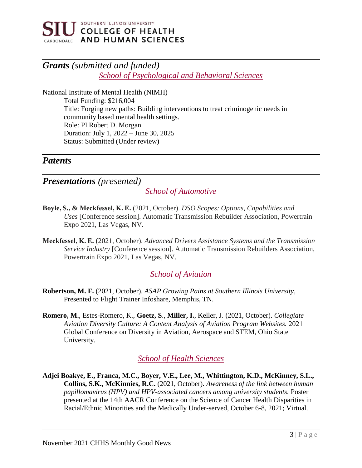

# *Grants (submitted and funded) School of Psychological and Behavioral Sciences*

National Institute of Mental Health (NIMH) Total Funding: \$216,004 Title: Forging new paths: Building interventions to treat criminogenic needs in community based mental health settings. Role: PI Robert D. Morgan Duration: July 1, 2022 – June 30, 2025 Status: Submitted (Under review)

#### *Patents*

*Presentations (presented)*

*School of Automotive*

- **Boyle, S., & Meckfessel, K. E.** (2021, October). *DSO Scopes: Options, Capabilities and Uses* [Conference session]. Automatic Transmission Rebuilder Association, Powertrain Expo 2021, Las Vegas, NV.
- **Meckfessel, K. E.** (2021, October). *Advanced Drivers Assistance Systems and the Transmission Service Industry* [Conference session]. Automatic Transmission Rebuilders Association, Powertrain Expo 2021, Las Vegas, NV.

#### *School of Aviation*

- **Robertson, M. F.** (2021, October). *ASAP Growing Pains at Southern Illinois University*, Presented to Flight Trainer Infoshare, Memphis, TN.
- **Romero, M.**, Estes-Romero, K., **Goetz, S**., **Miller, I.**, Keller, J. (2021, October). *Collegiate Aviation Diversity Culture: A Content Analysis of Aviation Program Websites.* 2021 Global Conference on Diversity in Aviation, Aerospace and STEM, Ohio State University.

## *School of Health Sciences*

**Adjei Boakye, E., Franca, M.C., Boyer, V.E., Lee, M., Whittington, K.D., McKinney, S.L., Collins, S.K., McKinnies, R.C.** (2021, October). *Awareness of the link between human papillomavirus (HPV) and HPV-associated cancers among university students.* Poster presented at the 14th AACR Conference on the Science of Cancer Health Disparities in Racial/Ethnic Minorities and the Medically Under-served, October 6-8, 2021; Virtual.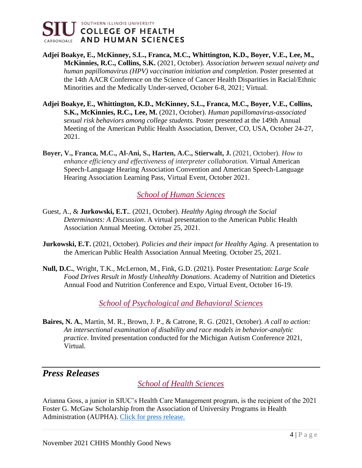

- **Adjei Boakye, E., McKinney, S.L., Franca, M.C., Whittington, K.D., Boyer, V.E., Lee, M., McKinnies, R.C., Collins, S.K.** (2021, October). *Association between sexual naivety and human papillomavirus (HPV) vaccination initiation and completion*. Poster presented at the 14th AACR Conference on the Science of Cancer Health Disparities in Racial/Ethnic Minorities and the Medically Under-served, October 6-8, 2021; Virtual.
- **Adjei Boakye, E., Whittington, K.D., McKinney, S.L., Franca, M.C., Boyer, V.E., Collins, S.K., McKinnies, R.C., Lee, M.** (2021, October). *Human papillomavirus-associated sexual risk behaviors among college students.* Poster presented at the 149th Annual Meeting of the American Public Health Association, Denver, CO, USA, October 24-27, 2021.
- **Boyer, V., Franca, M.C., Al-Ani, S., Harten, A.C., Stierwalt, J.** (2021, October). *How to enhance efficiency and effectiveness of interpreter collaboration.* Virtual American Speech-Language Hearing Association Convention and American Speech-Language Hearing Association Learning Pass, Virtual Event, October 2021.

## *School of Human Sciences*

- Guest, A., & **Jurkowski, E.T.**. (2021, October). *Healthy Aging through the Social Determinants: A Discussion*. A virtual presentation to the American Public Health Association Annual Meeting. October 25, 2021.
- **Jurkowski, E.T.** (2021, October). *Policies and their impact for Healthy Aging*. A presentation to the American Public Health Association Annual Meeting. October 25, 2021.
- **Null, D.C.**, Wright, T.K., McLernon, M., Fink, G.D. (2021). Poster Presentation: *Large Scale Food Drives Result in Mostly Unhealthy Donations*. Academy of Nutrition and Dietetics Annual Food and Nutrition Conference and Expo, Virtual Event, October 16-19.

*School of Psychological and Behavioral Sciences*

**Baires, N. A.**, Martin, M. R., Brown, J. P., & Catrone, R. G. (2021, October). *A call to action: An intersectional examination of disability and race models in behavior-analytic practice*. Invited presentation conducted for the Michigan Autism Conference 2021, Virtual.

## *Press Releases*

*School of Health Sciences*

Arianna Goss, a junior in SIUC's Health Care Management program, is the recipient of the 2021 Foster G. McGaw Scholarship from the Association of University Programs in Health Administration (AUPHA). [Click for press release.](https://news.siu.edu/2021/10/102721-SIUs-Arianna-Goss-earns-McGaw-health-administration-scholarship.php)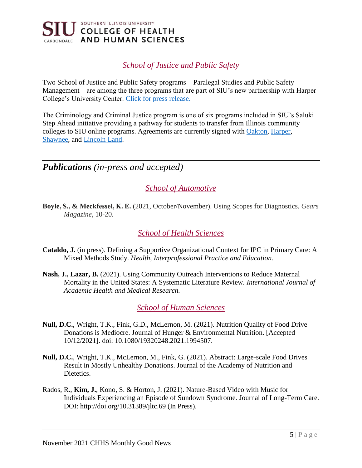

#### *School of Justice and Public Safety*

Two School of Justice and Public Safety programs—Paralegal Studies and Public Safety Management—are among the three programs that are part of SIU's new partnership with Harper College's University Center. [Click for press release.](https://news.siu.edu/2021/10/100621-siu-carbondale-3-Chicagoland-community-colleges-to-improve-access-for-students.html)

The Criminology and Criminal Justice program is one of six programs included in SIU's Saluki Step Ahead initiative providing a pathway for students to transfer from Illinois community colleges to SIU online programs. Agreements are currently signed with [Oakton, Harper,](https://news.siu.edu/2021/10/100621-siu-carbondale-3-Chicagoland-community-colleges-to-improve-access-for-students.html) [Shawnee,](https://thesouthern.com/news/local/siu/siu-shawnee-sign-agreement-making-transfers-easier/article_bb3d4082-9aba-5c70-b2b9-de35c75c1a80.html) and [Lincoln Land.](https://news.siu.edu/2021/10/102821-LLCC-and-SIU-Carbondale-sign-agreement-allowing-students-to-complete-bachelors-degrees-online.php)

## *Publications (in-press and accepted)*

*School of Automotive*

**Boyle, S., & Meckfessel, K. E.** (2021, October/November). Using Scopes for Diagnostics. *Gears Magazine*, 10-20.

*School of Health Sciences*

- **Cataldo, J.** (in press). Defining a Supportive Organizational Context for IPC in Primary Care: A Mixed Methods Study. *Health, Interprofessional Practice and Education.*
- **Nash, J., Lazar, B.** (2021). Using Community Outreach Interventions to Reduce Maternal Mortality in the United States: A Systematic Literature Review. *International Journal of Academic Health and Medical Research.*

*School of Human Sciences*

- **Null, D.C.**, Wright, T.K., Fink, G.D., McLernon, M. (2021). Nutrition Quality of Food Drive Donations is Mediocre. Journal of Hunger & Environmental Nutrition. [Accepted 10/12/2021]. doi: 10.1080/19320248.2021.1994507.
- **Null, D.C.**, Wright, T.K., McLernon, M., Fink, G. (2021). Abstract: Large-scale Food Drives Result in Mostly Unhealthy Donations. Journal of the Academy of Nutrition and Dietetics.
- Rados, R., **Kim, J.**, Kono, S. & Horton, J. (2021). Nature-Based Video with Music for Individuals Experiencing an Episode of Sundown Syndrome. Journal of Long-Term Care. DOI: http://doi.org/10.31389/jltc.69 (In Press).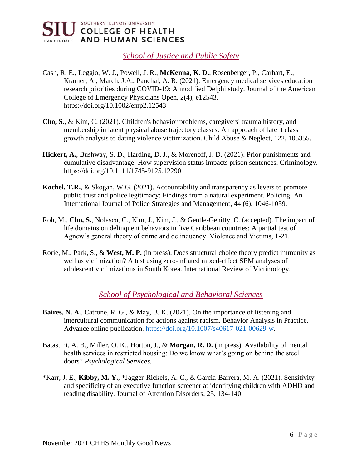

*School of Justice and Public Safety*

- Cash, R. E., Leggio, W. J., Powell, J. R., **McKenna, K. D.**, Rosenberger, P., Carhart, E., Kramer, A., March, J.A., Panchal, A. R. (2021). Emergency medical services education research priorities during COVID-19: A modified Delphi study. Journal of the American College of Emergency Physicians Open, 2(4), e12543. https://doi.org/10.1002/emp2.12543
- **Cho, S.**, & Kim, C. (2021). Children's behavior problems, caregivers' trauma history, and membership in latent physical abuse trajectory classes: An approach of latent class growth analysis to dating violence victimization. Child Abuse & Neglect, 122, 105355.
- **Hickert, A.**, Bushway, S. D., Harding, D. J., & Morenoff, J. D. (2021). Prior punishments and cumulative disadvantage: How supervision status impacts prison sentences. Criminology. https://doi.org/10.1111/1745-9125.12290
- **Kochel, T.R.**, & Skogan, W.G. (2021). Accountability and transparency as levers to promote public trust and police legitimacy: Findings from a natural experiment. Policing: An International Journal of Police Strategies and Management, 44 (6), 1046-1059.
- Roh, M., **Cho, S.**, Nolasco, C., Kim, J., Kim, J., & Gentle-Genitty, C. (accepted). The impact of life domains on delinquent behaviors in five Caribbean countries: A partial test of Agnew's general theory of crime and delinquency. Violence and Victims, 1-21.
- Rorie, M., Park, S., & **West, M. P.** (in press). Does structural choice theory predict immunity as well as victimization? A test using zero-inflated mixed-effect SEM analyses of adolescent victimizations in South Korea. International Review of Victimology.

#### *School of Psychological and Behavioral Sciences*

- **Baires, N. A.**, Catrone, R. G., & May, B. K. (2021). On the importance of listening and intercultural communication for actions against racism. Behavior Analysis in Practice. Advance online publication. [https://doi.org/10.1007/s40617-021-00629-w.](https://doi.org/10.1007/s40617-021-00629-w)
- Batastini, A. B., Miller, O. K., Horton, J., & **Morgan, R. D.** (in press). Availability of mental health services in restricted housing: Do we know what's going on behind the steel doors? *Psychological Services.*
- \*Karr, J. E., **Kibby, M. Y.**, \*Jagger-Rickels, A. C., & Garcia-Barrera, M. A. (2021). Sensitivity and specificity of an executive function screener at identifying children with ADHD and reading disability. Journal of Attention Disorders, 25, 134-140.